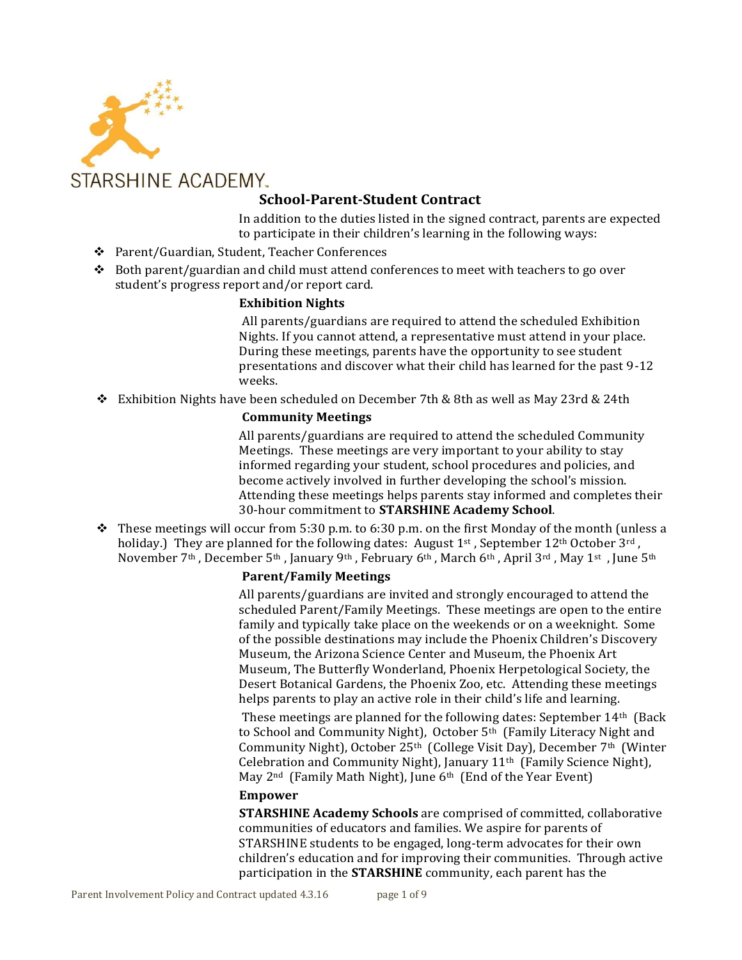

# **School-Parent-Student Contract**

In addition to the duties listed in the signed contract, parents are expected to participate in their children's learning in the following ways:

- Parent/Guardian, Student, Teacher Conferences
- $\bullet$  Both parent/guardian and child must attend conferences to meet with teachers to go over student's progress report and/or report card.

## **Exhibition Nights**

All parents/guardians are required to attend the scheduled Exhibition Nights. If you cannot attend, a representative must attend in your place. During these meetings, parents have the opportunity to see student presentations and discover what their child has learned for the past 9-12 weeks.

Exhibition Nights have been scheduled on December 7th & 8th as well as May 23rd & 24th

## **Community Meetings**

All parents/guardians are required to attend the scheduled Community Meetings. These meetings are very important to your ability to stay informed regarding your student, school procedures and policies, and become actively involved in further developing the school's mission. Attending these meetings helps parents stay informed and completes their 30-hour commitment to **STARSHINE Academy School**.

These meetings will occur from 5:30 p.m. to 6:30 p.m. on the first Monday of the month (unless a holiday.) They are planned for the following dates: August  $1^{st}$ , September  $12^{th}$  October  $3^{rd}$ . November 7<sup>th</sup>, December 5<sup>th</sup>, January 9<sup>th</sup>, February 6<sup>th</sup>, March 6<sup>th</sup>, April 3<sup>rd</sup>, May 1<sup>st</sup>, June 5<sup>th</sup>

## **Parent/Family Meetings**

All parents/guardians are invited and strongly encouraged to attend the scheduled Parent/Family Meetings. These meetings are open to the entire family and typically take place on the weekends or on a weeknight. Some of the possible destinations may include the Phoenix Children's Discovery Museum, the Arizona Science Center and Museum, the Phoenix Art Museum, The Butterfly Wonderland, Phoenix Herpetological Society, the Desert Botanical Gardens, the Phoenix Zoo, etc. Attending these meetings helps parents to play an active role in their child's life and learning.

These meetings are planned for the following dates: September 14th (Back to School and Community Night), October 5th (Family Literacy Night and Community Night), October 25<sup>th</sup> (College Visit Day), December 7<sup>th</sup> (Winter Celebration and Community Night), January 11th (Family Science Night), May 2nd (Family Math Night), June 6th (End of the Year Event)

## **Empower**

**STARSHINE Academy Schools** are comprised of committed, collaborative communities of educators and families. We aspire for parents of STARSHINE students to be engaged, long-term advocates for their own children's education and for improving their communities. Through active participation in the **STARSHINE** community, each parent has the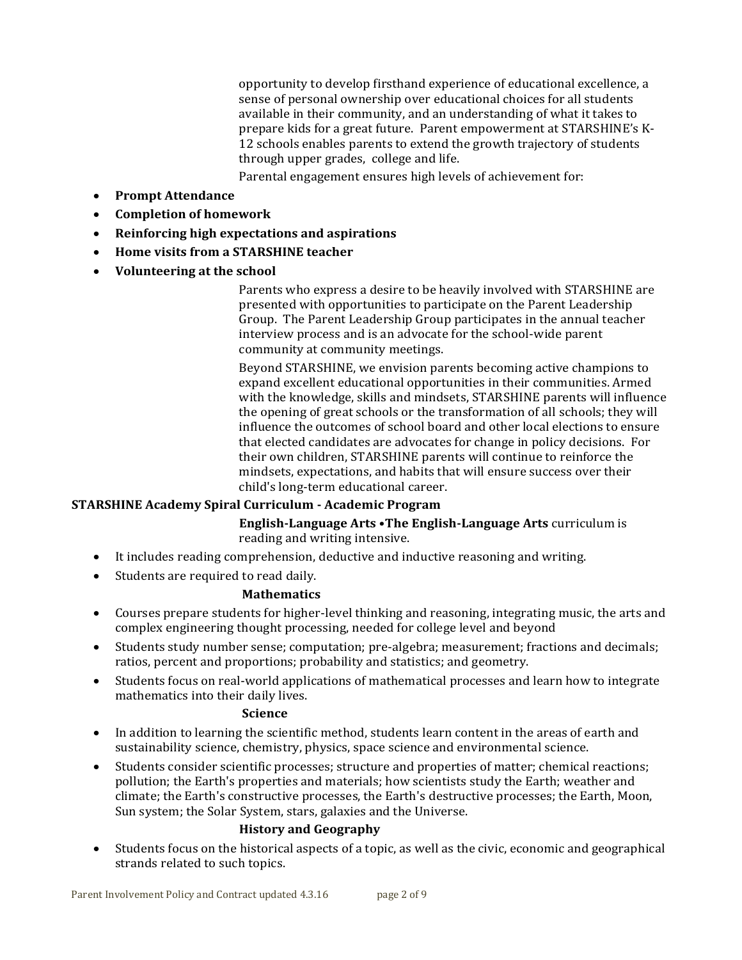opportunity to develop firsthand experience of educational excellence, a sense of personal ownership over educational choices for all students available in their community, and an understanding of what it takes to prepare kids for a great future. Parent empowerment at STARSHINE's K-12 schools enables parents to extend the growth trajectory of students through upper grades, college and life.

Parental engagement ensures high levels of achievement for:

- **Prompt Attendance**
- **Completion of homework**
- **Reinforcing high expectations and aspirations**
- **Home visits from a STARSHINE teacher**
- **Volunteering at the school**

Parents who express a desire to be heavily involved with STARSHINE are presented with opportunities to participate on the Parent Leadership Group. The Parent Leadership Group participates in the annual teacher interview process and is an advocate for the school-wide parent community at community meetings.

Beyond STARSHINE, we envision parents becoming active champions to expand excellent educational opportunities in their communities. Armed with the knowledge, skills and mindsets, STARSHINE parents will influence the opening of great schools or the transformation of all schools; they will influence the outcomes of school board and other local elections to ensure that elected candidates are advocates for change in policy decisions. For their own children, STARSHINE parents will continue to reinforce the mindsets, expectations, and habits that will ensure success over their child's long-term educational career.

## **STARSHINE Academy Spiral Curriculum - Academic Program**

**English-Language Arts •The English-Language Arts** curriculum is reading and writing intensive.

- It includes reading comprehension, deductive and inductive reasoning and writing.
- Students are required to read daily.

## **Mathematics**

- Courses prepare students for higher-level thinking and reasoning, integrating music, the arts and complex engineering thought processing, needed for college level and beyond
- Students study number sense; computation; pre-algebra; measurement; fractions and decimals; ratios, percent and proportions; probability and statistics; and geometry.
- Students focus on real-world applications of mathematical processes and learn how to integrate mathematics into their daily lives.

## **Science**

- In addition to learning the scientific method, students learn content in the areas of earth and sustainability science, chemistry, physics, space science and environmental science.
- Students consider scientific processes; structure and properties of matter; chemical reactions; pollution; the Earth's properties and materials; how scientists study the Earth; weather and climate; the Earth's constructive processes, the Earth's destructive processes; the Earth, Moon, Sun system; the Solar System, stars, galaxies and the Universe.

## **History and Geography**

 Students focus on the historical aspects of a topic, as well as the civic, economic and geographical strands related to such topics.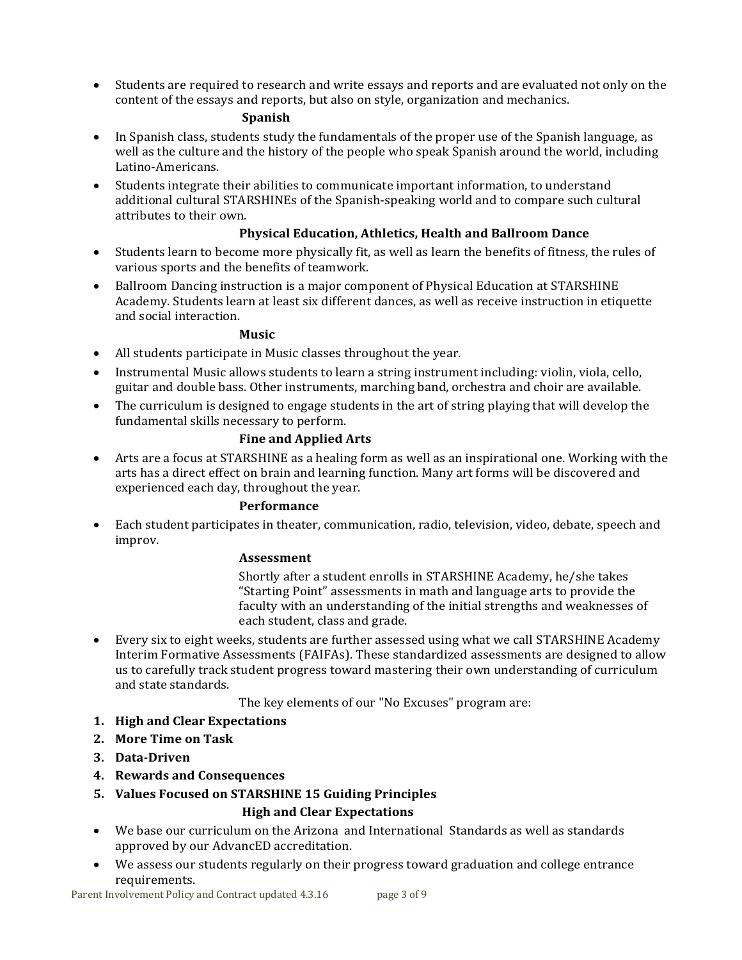Students are required to research and write essays and reports and are evaluated not only on the content of the essays and reports, but also on style, organization and mechanics.

#### **Spanish**

- In Spanish class, students study the fundamentals of the proper use of the Spanish language, as well as the culture and the history of the people who speak Spanish around the world, including Latino-Americans.
- Students integrate their abilities to communicate important information, to understand additional cultural STARSHINEs of the Spanish-speaking world and to compare such cultural attributes to their own.

## **Physical Education, Athletics, Health and Ballroom Dance**

- Students learn to become more physically fit, as well as learn the benefits of fitness, the rules of various sports and the benefits of teamwork.
- Ballroom Dancing instruction is a major component of Physical Education at STARSHINE Academy. Students learn at least six different dances, as well as receive instruction in etiquette and social interaction.

## **Music**

- All students participate in Music classes throughout the year.
- Instrumental Music allows students to learn a string instrument including: violin, viola, cello, guitar and double bass. Other instruments, marching band, orchestra and choir are available.
- The curriculum is designed to engage students in the art of string playing that will develop the fundamental skills necessary to perform.

## **Fine and Applied Arts**

 Arts are a focus at STARSHINE as a healing form as well as an inspirational one. Working with the arts has a direct effect on brain and learning function. Many art forms will be discovered and experienced each day, throughout the year.

## **Performance**

 Each student participates in theater, communication, radio, television, video, debate, speech and improv.

## **Assessment**

Shortly after a student enrolls in STARSHINE Academy, he/she takes "Starting Point" assessments in math and language arts to provide the faculty with an understanding of the initial strengths and weaknesses of each student, class and grade.

 Every six to eight weeks, students are further assessed using what we call STARSHINE Academy Interim Formative Assessments (FAIFAs). These standardized assessments are designed to allow us to carefully track student progress toward mastering their own understanding of curriculum and state standards.

The key elements of our "No Excuses" program are:

- **1. High and Clear Expectations**
- **2. More Time on Task**
- **3. Data-Driven**
- **4. Rewards and Consequences**
- **5. Values Focused on STARSHINE 15 Guiding Principles High and Clear Expectations**
- We base our curriculum on the Arizona and International Standards as well as standards approved by our AdvancED accreditation.
- We assess our students regularly on their progress toward graduation and college entrance requirements.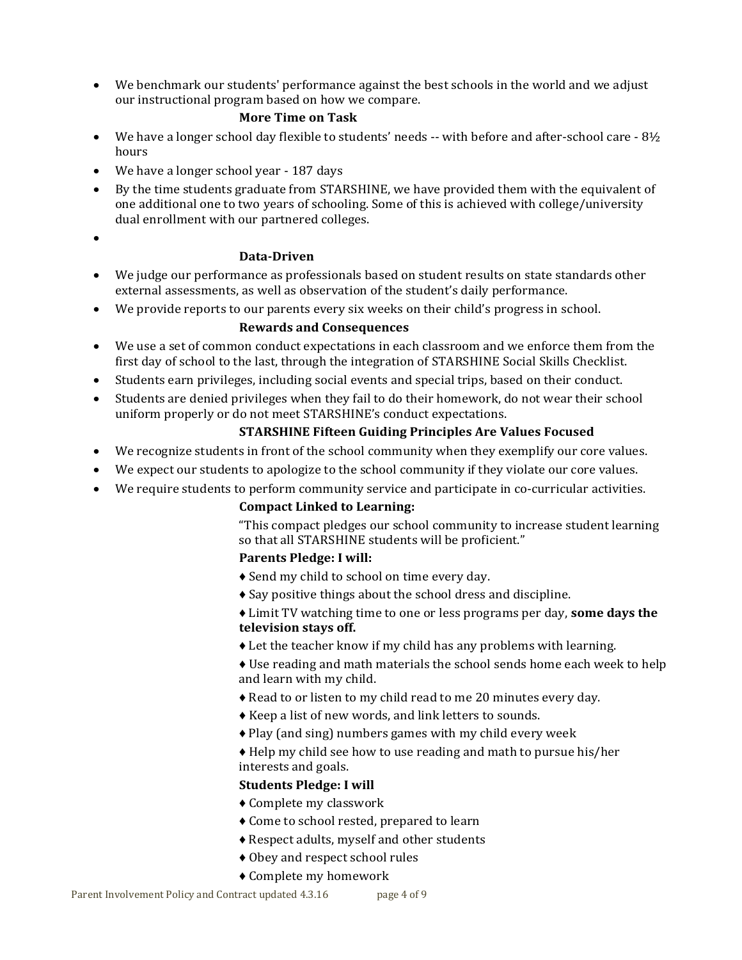We benchmark our students' performance against the best schools in the world and we adjust our instructional program based on how we compare.

## **More Time on Task**

- $\bullet$  We have a longer school day flexible to students' needs -- with before and after-school care 8½ hours
- We have a longer school year 187 days
- By the time students graduate from STARSHINE, we have provided them with the equivalent of one additional one to two years of schooling. Some of this is achieved with college/university dual enrollment with our partnered colleges.
- $\bullet$

## **Data-Driven**

- We judge our performance as professionals based on student results on state standards other external assessments, as well as observation of the student's daily performance.
- We provide reports to our parents every six weeks on their child's progress in school.

## **Rewards and Consequences**

- We use a set of common conduct expectations in each classroom and we enforce them from the first day of school to the last, through the integration of STARSHINE Social Skills Checklist.
- Students earn privileges, including social events and special trips, based on their conduct.
- Students are denied privileges when they fail to do their homework, do not wear their school uniform properly or do not meet STARSHINE's conduct expectations.

## **STARSHINE Fifteen Guiding Principles Are Values Focused**

- We recognize students in front of the school community when they exemplify our core values.
- We expect our students to apologize to the school community if they violate our core values.
- We require students to perform community service and participate in co-curricular activities.

## **Compact Linked to Learning:**

"This compact pledges our school community to increase student learning so that all STARSHINE students will be proficient."

## **Parents Pledge: I will:**

- ♦ Send my child to school on time every day.
- ♦ Say positive things about the school dress and discipline.

♦ Limit TV watching time to one or less programs per day, **some days the television stays off.**

♦ Let the teacher know if my child has any problems with learning.

♦ Use reading and math materials the school sends home each week to help and learn with my child.

- ♦ Read to or listen to my child read to me 20 minutes every day.
- ♦ Keep a list of new words, and link letters to sounds.
- ♦ Play (and sing) numbers games with my child every week

♦ Help my child see how to use reading and math to pursue his/her interests and goals.

## **Students Pledge: I will**

- ♦ Complete my classwork
- ♦ Come to school rested, prepared to learn
- ♦ Respect adults, myself and other students
- ♦ Obey and respect school rules
- ♦ Complete my homework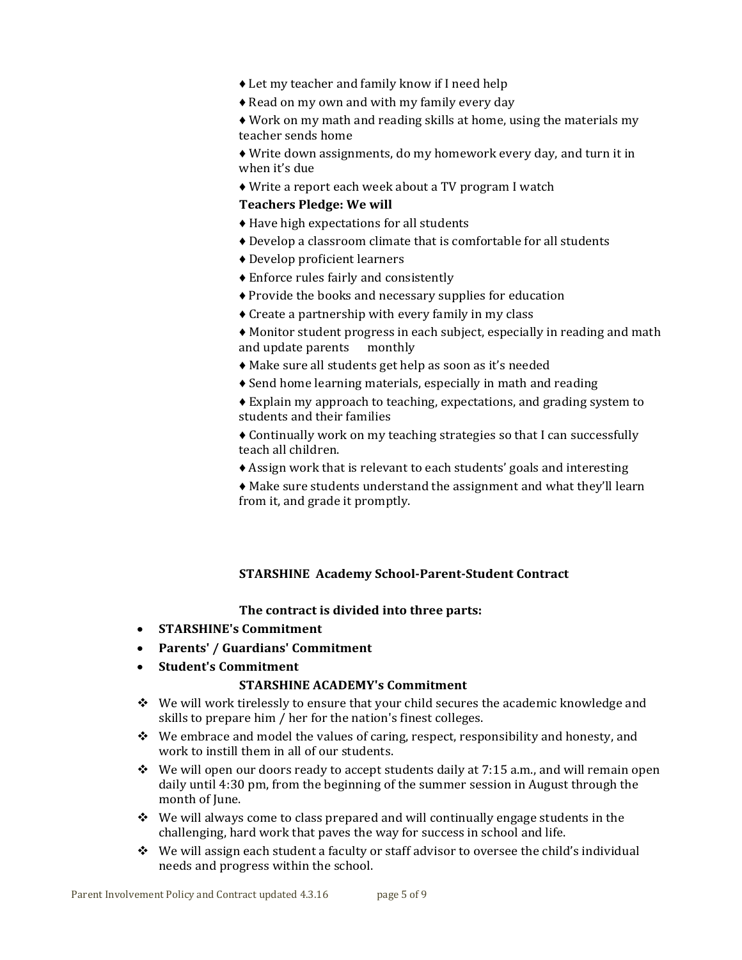- ♦ Let my teacher and family know if I need help
- ♦ Read on my own and with my family every day

♦ Work on my math and reading skills at home, using the materials my teacher sends home

♦ Write down assignments, do my homework every day, and turn it in when it's due

♦ Write a report each week about a TV program I watch

#### **Teachers Pledge: We will**

- ♦ Have high expectations for all students
- ♦ Develop a classroom climate that is comfortable for all students
- ♦ Develop proficient learners
- ♦ Enforce rules fairly and consistently
- ♦ Provide the books and necessary supplies for education
- ♦ Create a partnership with every family in my class
- ♦ Monitor student progress in each subject, especially in reading and math and update parents monthly
- ♦ Make sure all students get help as soon as it's needed
- ♦ Send home learning materials, especially in math and reading
- ♦ Explain my approach to teaching, expectations, and grading system to students and their families
- ♦ Continually work on my teaching strategies so that I can successfully teach all children.
- ♦ Assign work that is relevant to each students' goals and interesting
- ♦ Make sure students understand the assignment and what they'll learn from it, and grade it promptly.

## **STARSHINE Academy School-Parent-Student Contract**

#### **The contract is divided into three parts:**

- **STARSHINE's Commitment**
- **Parents' / Guardians' Commitment**
- **Student's Commitment**

#### **STARSHINE ACADEMY's Commitment**

- $\div$  We will work tirelessly to ensure that your child secures the academic knowledge and skills to prepare him / her for the nation's finest colleges.
- $\bullet$  We embrace and model the values of caring, respect, responsibility and honesty, and work to instill them in all of our students.
- $\bullet$  We will open our doors ready to accept students daily at 7:15 a.m., and will remain open daily until 4:30 pm, from the beginning of the summer session in August through the month of June.
- $\div$  We will always come to class prepared and will continually engage students in the challenging, hard work that paves the way for success in school and life.
- $\bullet$  We will assign each student a faculty or staff advisor to oversee the child's individual needs and progress within the school.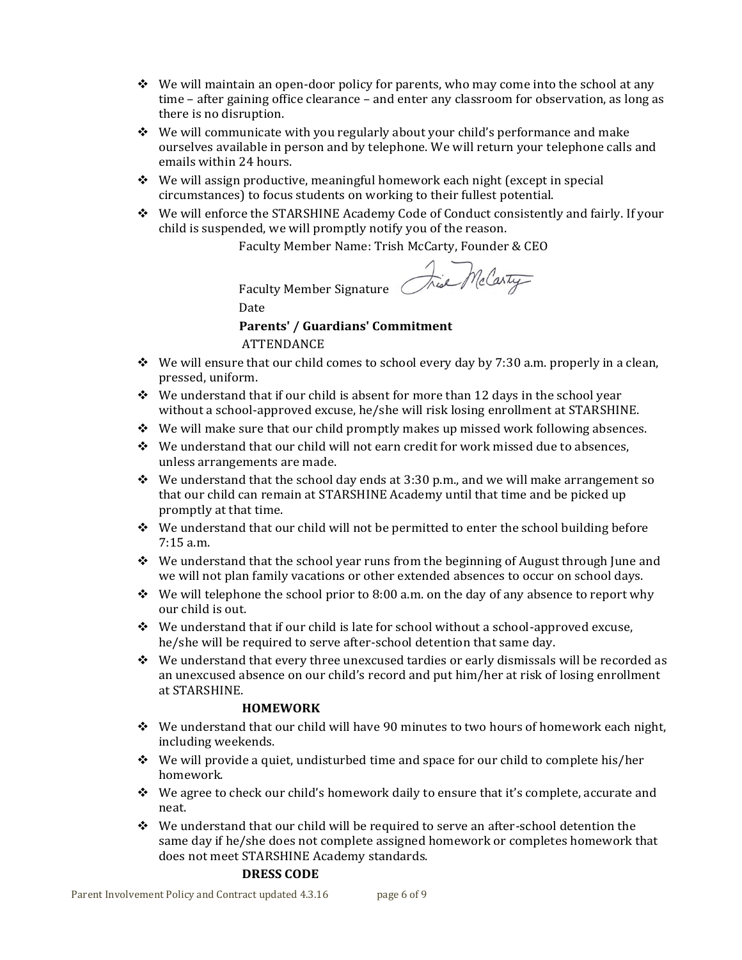- $\cdot \cdot \cdot$  We will maintain an open-door policy for parents, who may come into the school at any time – after gaining office clearance – and enter any classroom for observation, as long as there is no disruption.
- $\div$  We will communicate with you regularly about your child's performance and make ourselves available in person and by telephone. We will return your telephone calls and emails within 24 hours.
- We will assign productive, meaningful homework each night (except in special circumstances) to focus students on working to their fullest potential.
- We will enforce the STARSHINE Academy Code of Conduct consistently and fairly. If your child is suspended, we will promptly notify you of the reason.

Faculty Member Name: Trish McCarty, Founder & CEO

Faculty Member Signature Date

Tise McCarty

## **Parents' / Guardians' Commitment**

ATTENDANCE

- $\div$  We will ensure that our child comes to school every day by 7:30 a.m. properly in a clean, pressed, uniform.
- $\cdot \cdot \cdot$  We understand that if our child is absent for more than 12 days in the school year without a school-approved excuse, he/she will risk losing enrollment at STARSHINE.
- $\div$  We will make sure that our child promptly makes up missed work following absences.
- $\cdot \cdot$  We understand that our child will not earn credit for work missed due to absences, unless arrangements are made.
- $\div$  We understand that the school day ends at 3:30 p.m., and we will make arrangement so that our child can remain at STARSHINE Academy until that time and be picked up promptly at that time.
- $\div$  We understand that our child will not be permitted to enter the school building before 7:15 a.m.
- $\bullet$  We understand that the school year runs from the beginning of August through June and we will not plan family vacations or other extended absences to occur on school days.
- $\bullet$  We will telephone the school prior to 8:00 a.m. on the day of any absence to report why our child is out.
- $\div$  We understand that if our child is late for school without a school-approved excuse, he/she will be required to serve after-school detention that same day.
- We understand that every three unexcused tardies or early dismissals will be recorded as an unexcused absence on our child's record and put him/her at risk of losing enrollment at STARSHINE.

## **HOMEWORK**

- $\div$  We understand that our child will have 90 minutes to two hours of homework each night, including weekends.
- $\div$  We will provide a quiet, undisturbed time and space for our child to complete his/her homework.
- $\div$  We agree to check our child's homework daily to ensure that it's complete, accurate and neat.
- $\div$  We understand that our child will be required to serve an after-school detention the same day if he/she does not complete assigned homework or completes homework that does not meet STARSHINE Academy standards.

## **DRESS CODE**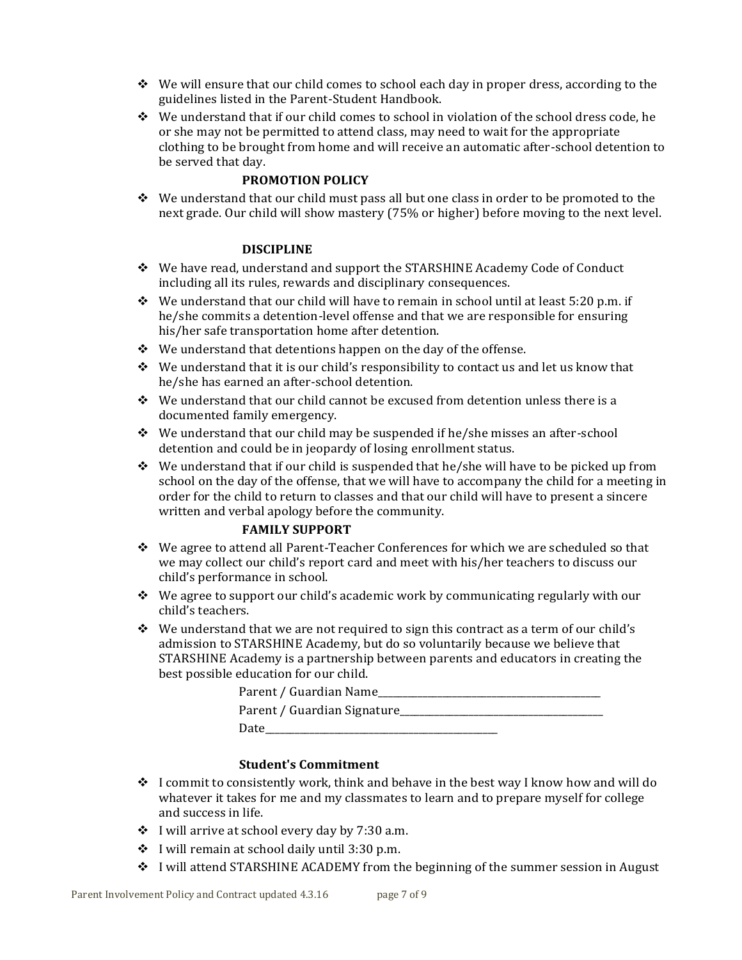- $\bullet$  We will ensure that our child comes to school each day in proper dress, according to the guidelines listed in the Parent-Student Handbook.
- $\div$  We understand that if our child comes to school in violation of the school dress code, he or she may not be permitted to attend class, may need to wait for the appropriate clothing to be brought from home and will receive an automatic after-school detention to be served that day.

## **PROMOTION POLICY**

 $\div$  We understand that our child must pass all but one class in order to be promoted to the next grade. Our child will show mastery (75% or higher) before moving to the next level.

#### **DISCIPLINE**

- We have read, understand and support the STARSHINE Academy Code of Conduct including all its rules, rewards and disciplinary consequences.
- $\div$  We understand that our child will have to remain in school until at least 5:20 p.m. if he/she commits a detention-level offense and that we are responsible for ensuring his/her safe transportation home after detention.
- $\div$  We understand that detentions happen on the day of the offense.
- $\triangle$  We understand that it is our child's responsibility to contact us and let us know that he/she has earned an after-school detention.
- $\div$  We understand that our child cannot be excused from detention unless there is a documented family emergency.
- $\div$  We understand that our child may be suspended if he/she misses an after-school detention and could be in jeopardy of losing enrollment status.
- $\div$  We understand that if our child is suspended that he/she will have to be picked up from school on the day of the offense, that we will have to accompany the child for a meeting in order for the child to return to classes and that our child will have to present a sincere written and verbal apology before the community.

#### **FAMILY SUPPORT**

- We agree to attend all Parent-Teacher Conferences for which we are scheduled so that we may collect our child's report card and meet with his/her teachers to discuss our child's performance in school.
- $\div$  We agree to support our child's academic work by communicating regularly with our child's teachers.
- \* We understand that we are not required to sign this contract as a term of our child's admission to STARSHINE Academy, but do so voluntarily because we believe that STARSHINE Academy is a partnership between parents and educators in creating the best possible education for our child.

| Parent / Guardian Name      |
|-----------------------------|
| Parent / Guardian Signature |
| Date                        |

#### **Student's Commitment**

- $\div$  I commit to consistently work, think and behave in the best way I know how and will do whatever it takes for me and my classmates to learn and to prepare myself for college and success in life.
- $\div$  I will arrive at school every day by 7:30 a.m.
- $\div$  I will remain at school daily until 3:30 p.m.
- I will attend STARSHINE ACADEMY from the beginning of the summer session in August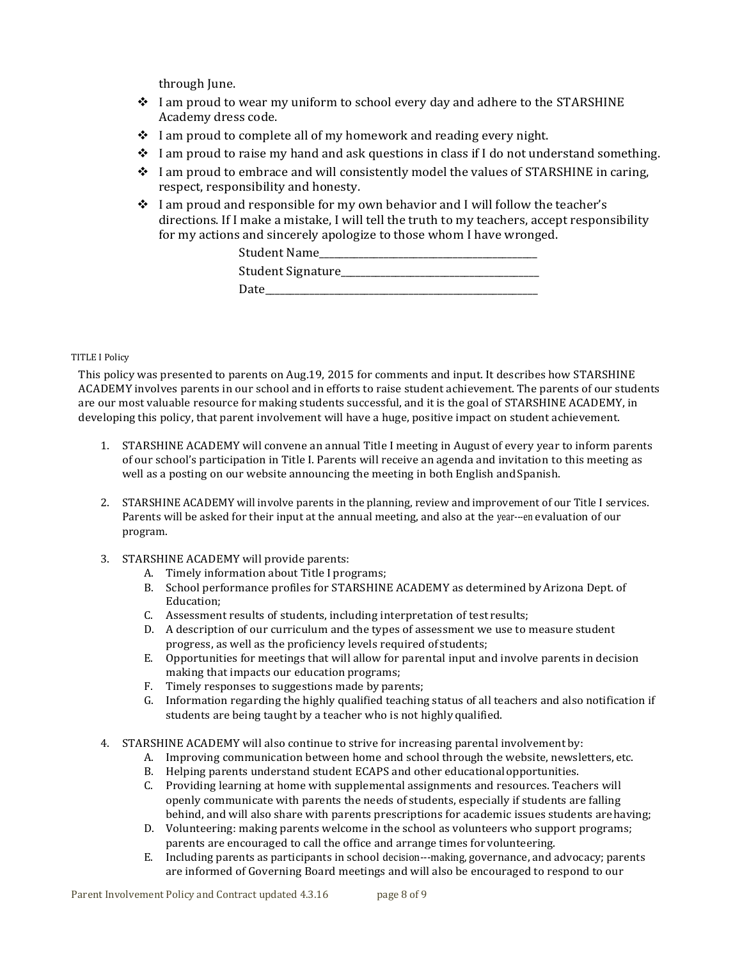through June.

- I am proud to wear my uniform to school every day and adhere to the STARSHINE Academy dress code.
- $\cdot$  I am proud to complete all of my homework and reading every night.
- $\div$  I am proud to raise my hand and ask questions in class if I do not understand something.
- $\div$  I am proud to embrace and will consistently model the values of STARSHINE in caring, respect, responsibility and honesty.
- $\div$  I am proud and responsible for my own behavior and I will follow the teacher's directions. If I make a mistake, I will tell the truth to my teachers, accept responsibility for my actions and sincerely apologize to those whom I have wronged.

| Student Name      |
|-------------------|
| Student Signature |
| Uate -            |

#### TITLE I Policy

This policy was presented to parents on Aug.19, 2015 for comments and input. It describes how STARSHINE ACADEMY involves parents in our school and in efforts to raise student achievement. The parents of our students are our most valuable resource for making students successful, and it is the goal of STARSHINE ACADEMY, in developing this policy, that parent involvement will have a huge, positive impact on student achievement.

- 1. STARSHINE ACADEMY will convene an annual Title I meeting in August of every year to inform parents of our school's participation in Title I. Parents will receive an agenda and invitation to this meeting as well as a posting on our website announcing the meeting in both English and Spanish.
- 2. STARSHINE ACADEMY will involve parents in the planning, review and improvement of our Title I services. Parents will be asked for their input at the annual meeting, and also at the year---en evaluation of our program.
- 3. STARSHINE ACADEMY will provide parents:
	- A. Timely information about Title I programs;
	- B. School performance profiles for STARSHINE ACADEMY as determined by Arizona Dept. of Education;
	- C. Assessment results of students, including interpretation of test results;
	- D. A description of our curriculum and the types of assessment we use to measure student progress, as well as the proficiency levels required of students;
	- E. Opportunities for meetings that will allow for parental input and involve parents in decision making that impacts our education programs;
	- F. Timely responses to suggestions made by parents;
	- G. Information regarding the highly qualified teaching status of all teachers and also notification if students are being taught by a teacher who is not highly qualified.
- 4. STARSHINE ACADEMY will also continue to strive for increasing parental involvement by:
	- A. Improving communication between home and school through the website, newsletters, etc.
	- B. Helping parents understand student ECAPS and other educationalopportunities.
	- C. Providing learning at home with supplemental assignments and resources. Teachers will openly communicate with parents the needs of students, especially if students are falling behind, and will also share with parents prescriptions for academic issues students arehaving;
	- D. Volunteering: making parents welcome in the school as volunteers who support programs; parents are encouraged to call the office and arrange times for volunteering.
	- E. Including parents as participants in school decision---making, governance, and advocacy; parents are informed of Governing Board meetings and will also be encouraged to respond to our